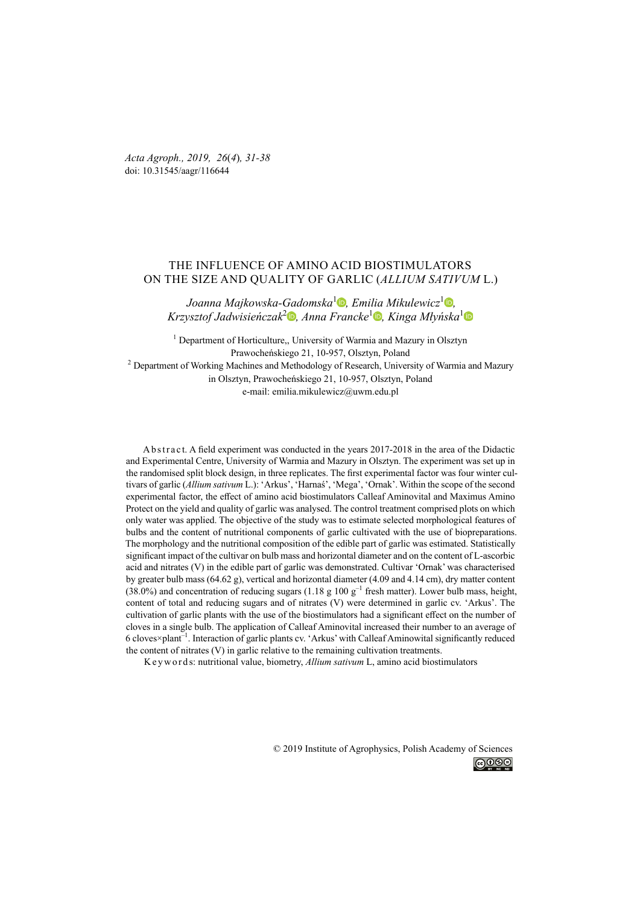*Acta Agroph., 2019, 26*(*4*)*, 31-38*  doi: 10.31545/aagr/116644

# THE INFLUENCE OF AMINO ACID BIOSTIMULATORS ON THE SIZE AND QUALITY OF GARLIC (*ALLIUM SATIVUM* L.)

*Joanna Majkowska-Gadomska*<sup>1</sup> *[,](https://orcid.org/0000-0003-1693-0248) Emilia Mikulewicz*<sup>1</sup> *[,](https://orcid.org/0000-0001-6532-1583) Krzysztof Jadwisieńczak*<sup>2</sup> *[,](https://orcid.org/0000-0001-7804-7675) Anna Francke*<sup>1</sup> *[,](https://orcid.org/0000-0002-6054-737X) Kinga Młyńska*[1](https://orcid.org/0000-0002-7104-4022)

<sup>1</sup> Department of Horticulture,, University of Warmia and Mazury in Olsztyn Prawocheńskiego 21, 10-957, Olsztyn, Poland <sup>2</sup> Department of Working Machines and Methodology of Research, University of Warmia and Mazury in Olsztyn, Prawocheńskiego 21, 10-957, Olsztyn, Poland e-mail: emilia.mikulewicz@uwm.edu.pl

A b s t r a c t. A field experiment was conducted in the years 2017-2018 in the area of the Didactic and Experimental Centre, University of Warmia and Mazury in Olsztyn. The experiment was set up in the randomised split block design, in three replicates. The first experimental factor was four winter cultivars of garlic (*Allium sativum* L.): 'Arkus', 'Harnaś', 'Mega', 'Ornak'. Within the scope of the second experimental factor, the effect of amino acid biostimulators Calleaf Aminovital and Maximus Amino Protect on the yield and quality of garlic was analysed. The control treatment comprised plots on which only water was applied. The objective of the study was to estimate selected morphological features of bulbs and the content of nutritional components of garlic cultivated with the use of biopreparations. The morphology and the nutritional composition of the edible part of garlic was estimated. Statistically significant impact of the cultivar on bulb mass and horizontal diameter and on the content of L-ascorbic acid and nitrates (V) in the edible part of garlic was demonstrated. Cultivar 'Ornak' was characterised by greater bulb mass (64.62 g), vertical and horizontal diameter (4.09 and 4.14 cm), dry matter content  $(38.0%)$  and concentration of reducing sugars  $(1.18 \text{ g } 100 \text{ g}^{-1}$  fresh matter). Lower bulb mass, height, content of total and reducing sugars and of nitrates (V) were determined in garlic cv. 'Arkus'. The cultivation of garlic plants with the use of the biostimulators had a significant effect on the number of cloves in a single bulb. The application of Calleaf Aminovital increased their number to an average of 6 cloves×plant–1. Interaction of garlic plants cv. 'Arkus' with Calleaf Aminowital significantly reduced the content of nitrates (V) in garlic relative to the remaining cultivation treatments.

K e y w o r d s: nutritional value, biometry, *Allium sativum* L, amino acid biostimulators

© 2019 Institute of Agrophysics, Polish Academy of Sciences

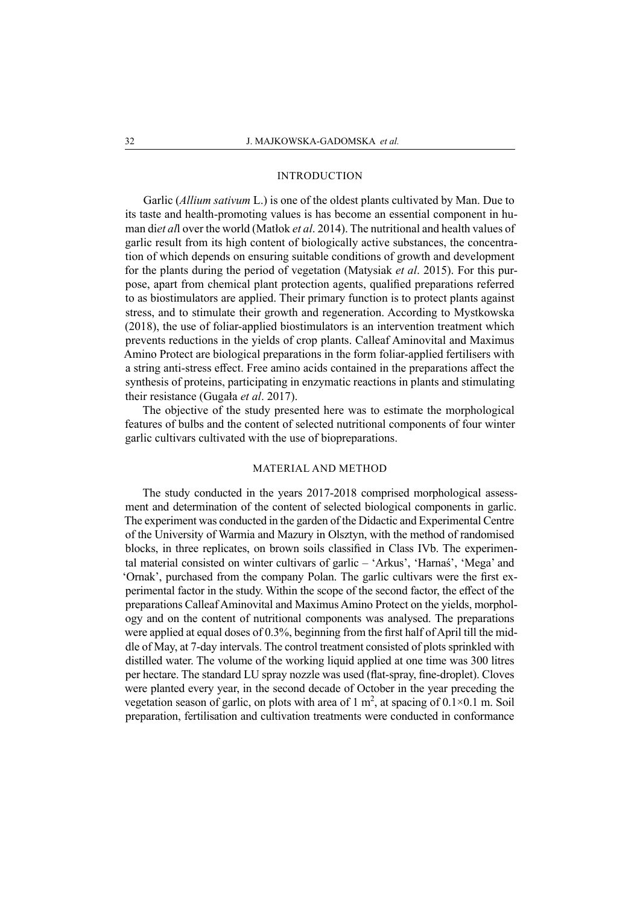### INTRODUCTION

Garlic (*Allium sativum* L.) is one of the oldest plants cultivated by Man. Due to its taste and health-promoting values is has become an essential component in human di*et al*l over the world (Matłok *et al*. 2014). The nutritional and health values of garlic result from its high content of biologically active substances, the concentration of which depends on ensuring suitable conditions of growth and development for the plants during the period of vegetation (Matysiak *et al*. 2015). For this purpose, apart from chemical plant protection agents, qualified preparations referred to as biostimulators are applied. Their primary function is to protect plants against stress, and to stimulate their growth and regeneration. According to Mystkowska (2018), the use of foliar-applied biostimulators is an intervention treatment which prevents reductions in the yields of crop plants. Calleaf Aminovital and Maximus Amino Protect are biological preparations in the form foliar-applied fertilisers with a string anti-stress effect. Free amino acids contained in the preparations affect the synthesis of proteins, participating in enzymatic reactions in plants and stimulating their resistance (Gugała *et al*. 2017).

The objective of the study presented here was to estimate the morphological features of bulbs and the content of selected nutritional components of four winter garlic cultivars cultivated with the use of biopreparations.

## MATERIAL AND METHOD

The study conducted in the years 2017-2018 comprised morphological assessment and determination of the content of selected biological components in garlic. The experiment was conducted in the garden of the Didactic and Experimental Centre of the University of Warmia and Mazury in Olsztyn, with the method of randomised blocks, in three replicates, on brown soils classified in Class IVb. The experimental material consisted on winter cultivars of garlic – 'Arkus', 'Harnaś', 'Mega' and 'Ornak', purchased from the company Polan. The garlic cultivars were the first experimental factor in the study. Within the scope of the second factor, the effect of the preparations Calleaf Aminovital and Maximus Amino Protect on the yields, morphology and on the content of nutritional components was analysed. The preparations were applied at equal doses of 0.3%, beginning from the first half of April till the middle of May, at 7-day intervals. The control treatment consisted of plots sprinkled with distilled water. The volume of the working liquid applied at one time was 300 litres per hectare. The standard LU spray nozzle was used (flat-spray, fine-droplet). Cloves were planted every year, in the second decade of October in the year preceding the vegetation season of garlic, on plots with area of 1 m<sup>2</sup>, at spacing of  $0.1 \times 0.1$  m. Soil preparation, fertilisation and cultivation treatments were conducted in conformance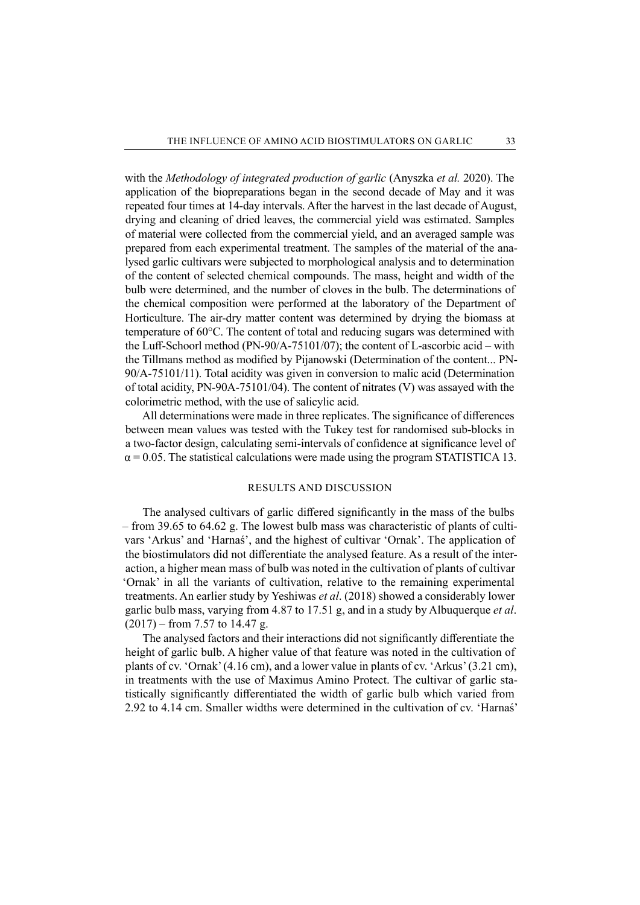with the *Methodology of integrated production of garlic* (Anyszka *et al.* 2020). The application of the biopreparations began in the second decade of May and it was repeated four times at 14-day intervals. After the harvest in the last decade of August, drying and cleaning of dried leaves, the commercial yield was estimated. Samples of material were collected from the commercial yield, and an averaged sample was prepared from each experimental treatment. The samples of the material of the analysed garlic cultivars were subjected to morphological analysis and to determination of the content of selected chemical compounds. The mass, height and width of the bulb were determined, and the number of cloves in the bulb. The determinations of the chemical composition were performed at the laboratory of the Department of Horticulture. The air-dry matter content was determined by drying the biomass at temperature of 60°C. The content of total and reducing sugars was determined with the Luff-Schoorl method (PN-90/A-75101/07); the content of L-ascorbic acid – with the Tillmans method as modified by Pijanowski (Determination of the content... PN-90/A-75101/11). Total acidity was given in conversion to malic acid (Determination of total acidity, PN-90A-75101/04). The content of nitrates (V) was assayed with the colorimetric method, with the use of salicylic acid.

All determinations were made in three replicates. The significance of differences between mean values was tested with the Tukey test for randomised sub-blocks in a two-factor design, calculating semi-intervals of confidence at significance level of  $\alpha$  = 0.05. The statistical calculations were made using the program STATISTICA 13.

#### RESULTS AND DISCUSSION

The analysed cultivars of garlic differed significantly in the mass of the bulbs – from 39.65 to 64.62 g. The lowest bulb mass was characteristic of plants of cultivars 'Arkus' and 'Harnaś', and the highest of cultivar 'Ornak'. The application of the biostimulators did not differentiate the analysed feature. As a result of the interaction, a higher mean mass of bulb was noted in the cultivation of plants of cultivar 'Ornak' in all the variants of cultivation, relative to the remaining experimental treatments. An earlier study by Yeshiwas *et al*. (2018) showed a considerably lower garlic bulb mass, varying from 4.87 to 17.51 g, and in a study by Albuquerque *et al*.  $(2017)$  – from 7.57 to 14.47 g.

The analysed factors and their interactions did not significantly differentiate the height of garlic bulb. A higher value of that feature was noted in the cultivation of plants of cv. 'Ornak' (4.16 cm), and a lower value in plants of cv. 'Arkus' (3.21 cm), in treatments with the use of Maximus Amino Protect. The cultivar of garlic statistically significantly differentiated the width of garlic bulb which varied from 2.92 to 4.14 cm. Smaller widths were determined in the cultivation of cv. 'Harnaś'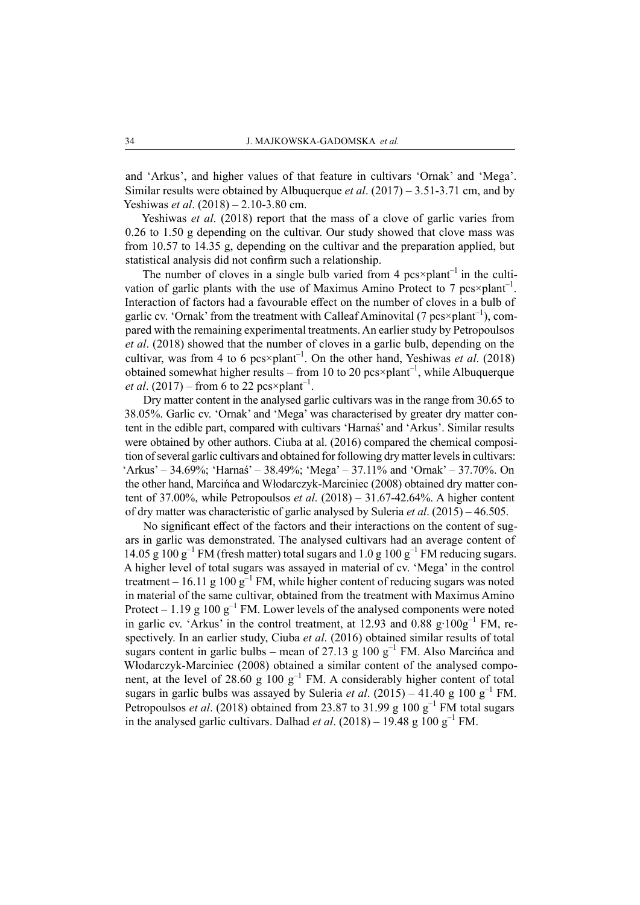and 'Arkus', and higher values of that feature in cultivars 'Ornak' and 'Mega'. Similar results were obtained by Albuquerque *et al*. (2017) – 3.51-3.71 cm, and by Yeshiwas *et al*. (2018) – 2.10-3.80 cm.

Yeshiwas *et al*. (2018) report that the mass of a clove of garlic varies from 0.26 to 1.50 g depending on the cultivar. Our study showed that clove mass was from 10.57 to 14.35 g, depending on the cultivar and the preparation applied, but statistical analysis did not confirm such a relationship.

The number of cloves in a single bulb varied from 4  $pos \times plant^{-1}$  in the cultivation of garlic plants with the use of Maximus Amino Protect to 7 pcs×plant<sup>-1</sup>. Interaction of factors had a favourable effect on the number of cloves in a bulb of garlic cv. 'Ornak' from the treatment with Calleaf Aminovital (7  $pcs \times plant^{-1}$ ), compared with the remaining experimental treatments. An earlier study by Petropoulsos *et al*. (2018) showed that the number of cloves in a garlic bulb, depending on the cultivar, was from 4 to 6 pcs×plant–1. On the other hand, Yeshiwas *et al*. (2018) obtained somewhat higher results – from 10 to 20  $pcs \times plant^{-1}$ , while Albuquerque *et al.* (2017) – from 6 to 22 pcs×plant<sup>-1</sup>.

Dry matter content in the analysed garlic cultivars was in the range from 30.65 to 38.05%. Garlic cv. 'Ornak' and 'Mega' was characterised by greater dry matter content in the edible part, compared with cultivars 'Harnaś' and 'Arkus'. Similar results were obtained by other authors. Ciuba at al. (2016) compared the chemical composition of several garlic cultivars and obtained for following dry matter levels in cultivars: 'Arkus' – 34.69%; 'Harnaś' – 38.49%; 'Mega' – 37.11% and 'Ornak' – 37.70%. On the other hand, Marcińca and Włodarczyk-Marciniec (2008) obtained dry matter content of 37.00%, while Petropoulsos *et al*. (2018) – 31.67-42.64%. A higher content of dry matter was characteristic of garlic analysed by Suleria *et al*. (2015) – 46.505.

No significant effect of the factors and their interactions on the content of sugars in garlic was demonstrated. The analysed cultivars had an average content of 14.05 g 100  $g^{-1}$  FM (fresh matter) total sugars and 1.0 g 100  $g^{-1}$  FM reducing sugars. A higher level of total sugars was assayed in material of cv. 'Mega' in the control treatment – 16.11 g 100  $g^{-1}$  FM, while higher content of reducing sugars was noted in material of the same cultivar, obtained from the treatment with Maximus Amino Protect – 1.19 g 100  $g^{-1}$  FM. Lower levels of the analysed components were noted in garlic cv. 'Arkus' in the control treatment, at 12.93 and 0.88 g∙100g–1 FM, respectively. In an earlier study, Ciuba *et al*. (2016) obtained similar results of total sugars content in garlic bulbs – mean of 27.13 g 100  $g^{-1}$  FM. Also Marcinca and Włodarczyk-Marciniec (2008) obtained a similar content of the analysed component, at the level of 28.60 g 100  $g^{-1}$  FM. A considerably higher content of total sugars in garlic bulbs was assayed by Suleria *et al.* (2015) – 41.40 g 100 g<sup>-1</sup> FM. Petropoulsos *et al.* (2018) obtained from 23.87 to 31.99 g  $100 g^{-1}$  FM total sugars in the analysed garlic cultivars. Dalhad *et al.* (2018) – 19.48 g 100 g<sup>-1</sup> FM.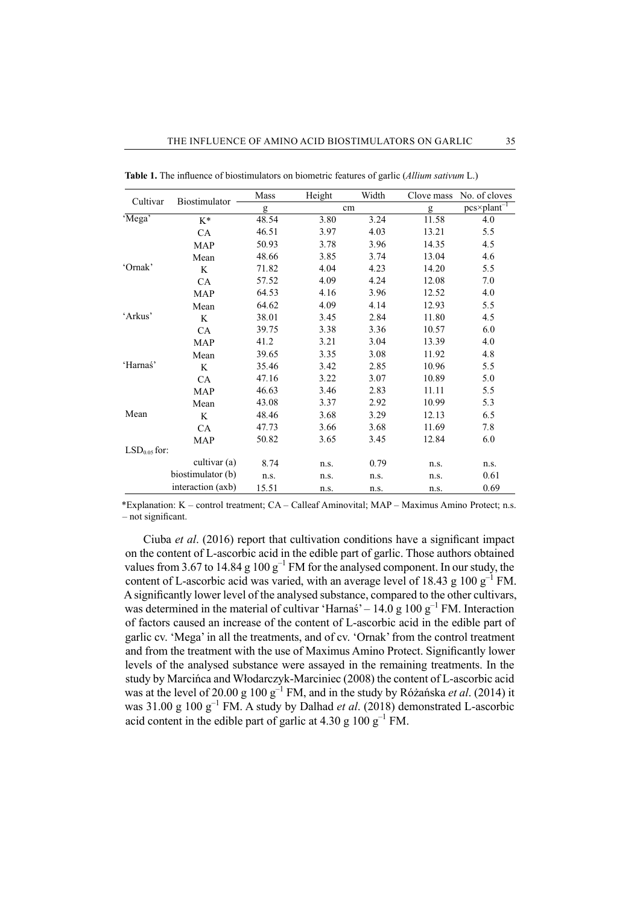| Cultivar       | Biostimulator     | Mass  | Height | Width | Clove mass | No. of cloves           |
|----------------|-------------------|-------|--------|-------|------------|-------------------------|
|                |                   | g     | cm     |       | g          | $pcs \times plant^{-1}$ |
| 'Mega'         | $K^*$             | 48.54 | 3.80   | 3.24  | 11.58      | 4.0                     |
|                | CA                | 46.51 | 3.97   | 4.03  | 13.21      | 5.5                     |
|                | <b>MAP</b>        | 50.93 | 3.78   | 3.96  | 14.35      | 4.5                     |
|                | Mean              | 48.66 | 3.85   | 3.74  | 13.04      | 4.6                     |
| 'Ornak'        | K                 | 71.82 | 4.04   | 4.23  | 14.20      | 5.5                     |
|                | CA                | 57.52 | 4.09   | 4.24  | 12.08      | 7.0                     |
|                | <b>MAP</b>        | 64.53 | 4.16   | 3.96  | 12.52      | 4.0                     |
|                | Mean              | 64.62 | 4.09   | 4.14  | 12.93      | 5.5                     |
| 'Arkus'        | K                 | 38.01 | 3.45   | 2.84  | 11.80      | 4.5                     |
|                | <b>CA</b>         | 39.75 | 3.38   | 3.36  | 10.57      | 6.0                     |
|                | <b>MAP</b>        | 41.2  | 3.21   | 3.04  | 13.39      | 4.0                     |
|                | Mean              | 39.65 | 3.35   | 3.08  | 11.92      | 4.8                     |
| 'Harnaś'       | K                 | 35.46 | 3.42   | 2.85  | 10.96      | 5.5                     |
|                | <b>CA</b>         | 47.16 | 3.22   | 3.07  | 10.89      | 5.0                     |
|                | <b>MAP</b>        | 46.63 | 3.46   | 2.83  | 11.11      | 5.5                     |
|                | Mean              | 43.08 | 3.37   | 2.92  | 10.99      | 5.3                     |
| Mean           | K                 | 48.46 | 3.68   | 3.29  | 12.13      | 6.5                     |
|                | CA                | 47.73 | 3.66   | 3.68  | 11.69      | 7.8                     |
|                | MAP               | 50.82 | 3.65   | 3.45  | 12.84      | 6.0                     |
| $LSD0.05$ for: |                   |       |        |       |            |                         |
|                | cultivar (a)      | 8.74  | n.s.   | 0.79  | n.s.       | n.s.                    |
|                | biostimulator (b) | n.s.  | n.s.   | n.s.  | n.s.       | 0.61                    |
|                | interaction (axb) | 15.51 | n.s.   | n.s.  | n.s.       | 0.69                    |

**Table 1.** The influence of biostimulators on biometric features of garlic (*Allium sativum* L.)

\*Explanation: K – control treatment; CA – Calleaf Aminovital; MAP – Maximus Amino Protect; n.s. – not significant.

Ciuba *et al*. (2016) report that cultivation conditions have a significant impact on the content of L-ascorbic acid in the edible part of garlic. Those authors obtained values from 3.67 to 14.84 g  $100 g^{-1}$  FM for the analysed component. In our study, the content of L-ascorbic acid was varied, with an average level of 18.43 g 100  $g^{-1}$  FM. Asignificantly lower level of the analysed substance, compared to the other cultivars, was determined in the material of cultivar 'Harnas' –  $14.0 \text{ g } 100 \text{ g}^{-1}$  FM. Interaction of factors caused an increase of the content of L-ascorbic acid in the edible part of garlic cv. 'Mega' in all the treatments, and of cv. 'Ornak' from the control treatment and from the treatment with the use of Maximus Amino Protect. Significantly lower levels of the analysed substance were assayed in the remaining treatments. In the study by Marcińca and Włodarczyk-Marciniec (2008) the content of L-ascorbic acid was at the level of 20.00 g 100 g–1 FM, and in the study by Różańska *et al*. (2014) it was 31.00 g 100 g<sup>-1</sup> FM. A study by Dalhad *et al.* (2018) demonstrated L-ascorbic acid content in the edible part of garlic at 4.30 g  $100 \text{ g}^{-1}$  FM.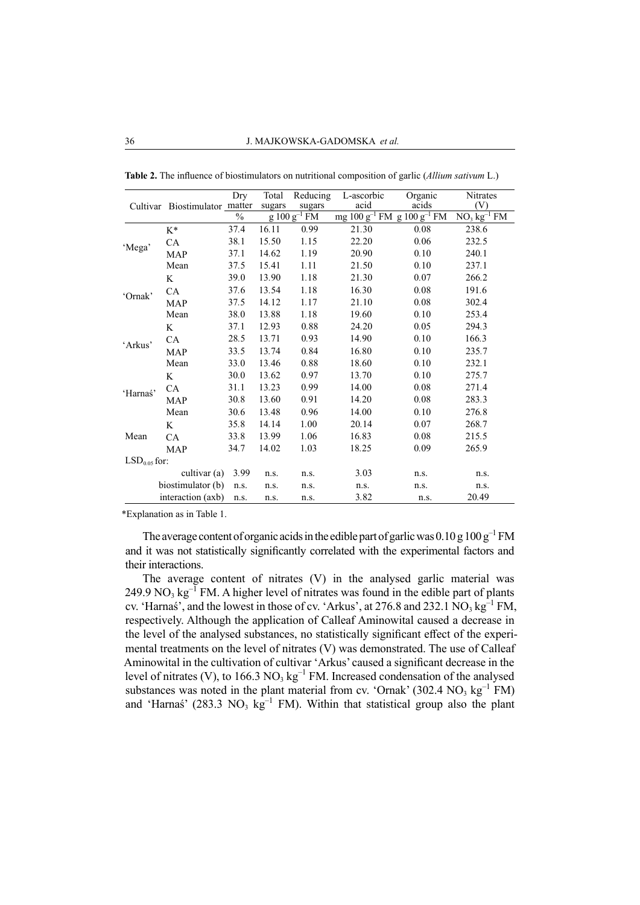|                | Cultivar Biostimulator matter | Dry  | Total<br>sugars | Reducing<br>sugars | L-ascorbic<br>acid                   | Organic<br>acids | <b>Nitrates</b><br>(V) |
|----------------|-------------------------------|------|-----------------|--------------------|--------------------------------------|------------------|------------------------|
|                |                               | $\%$ |                 | $g 100 g^{-1}$ FM  | mg $100 g^{-1}$ FM g $100 g^{-1}$ FM |                  | $NO3 kg-1 FM$          |
| 'Mega'         | $K^*$                         | 37.4 | 16.11           | 0.99               | 21.30                                | 0.08             | 238.6                  |
|                | CA                            | 38.1 | 15.50           | 1.15               | 22.20                                | 0.06             | 232.5                  |
|                | <b>MAP</b>                    | 37.1 | 14.62           | 1.19               | 20.90                                | 0.10             | 240.1                  |
|                | Mean                          | 37.5 | 15.41           | 1.11               | 21.50                                | 0.10             | 237.1                  |
| 'Ornak'        | K                             | 39.0 | 13.90           | 1.18               | 21.30                                | 0.07             | 266.2                  |
|                | CA                            | 37.6 | 13.54           | 1.18               | 16.30                                | 0.08             | 191.6                  |
|                | <b>MAP</b>                    | 37.5 | 14.12           | 1.17               | 21.10                                | 0.08             | 302.4                  |
|                | Mean                          | 38.0 | 13.88           | 1.18               | 19.60                                | 0.10             | 253.4                  |
| 'Arkus'        | K                             | 37.1 | 12.93           | 0.88               | 24.20                                | 0.05             | 294.3                  |
|                | <b>CA</b>                     | 28.5 | 13.71           | 0.93               | 14.90                                | 0.10             | 166.3                  |
|                | <b>MAP</b>                    | 33.5 | 13.74           | 0.84               | 16.80                                | 0.10             | 235.7                  |
|                | Mean                          | 33.0 | 13.46           | 0.88               | 18.60                                | 0.10             | 232.1                  |
| 'Harnaś'       | K                             | 30.0 | 13.62           | 0.97               | 13.70                                | 0.10             | 275.7                  |
|                | <b>CA</b>                     | 31.1 | 13.23           | 0.99               | 14.00                                | 0.08             | 271.4                  |
|                | <b>MAP</b>                    | 30.8 | 13.60           | 0.91               | 14.20                                | 0.08             | 283.3                  |
|                | Mean                          | 30.6 | 13.48           | 0.96               | 14.00                                | 0.10             | 276.8                  |
| Mean           | K                             | 35.8 | 14.14           | 1.00               | 20.14                                | 0.07             | 268.7                  |
|                | CA                            | 33.8 | 13.99           | 1.06               | 16.83                                | 0.08             | 215.5                  |
|                | <b>MAP</b>                    | 34.7 | 14.02           | 1.03               | 18.25                                | 0.09             | 265.9                  |
| $LSD0.05$ for: |                               |      |                 |                    |                                      |                  |                        |
|                | cultivar (a)                  | 3.99 | n.s.            | n.s.               | 3.03                                 | n.s.             | n.s.                   |
|                | biostimulator (b)             | n.s. | n.s.            | n.s.               | n.s.                                 | n.s.             | n.s.                   |
|                | interaction (axb)             | n.s. | n.s.            | n.s.               | 3.82                                 | n.s.             | 20.49                  |

**Table 2.** The influence of biostimulators on nutritional composition of garlic (*Allium sativum* L.)

\*Explanation as in Table 1.

The average content of organic acids in the edible part of garlic was  $0.10$  g  $100$  g<sup>-1</sup> FM and it was not statistically significantly correlated with the experimental factors and their interactions.

The average content of nitrates (V) in the analysed garlic material was 249.9 NO<sub>3</sub>  $\text{kg}^{-1}$  FM. A higher level of nitrates was found in the edible part of plants cv. 'Harnas', and the lowest in those of cv. 'Arkus', at 276.8 and 232.1  $\text{NO}_3 \text{ kg}^{-1} \text{ FM}$ , respectively. Although the application of Calleaf Aminowital caused a decrease in the level of the analysed substances, no statistically significant effect of the experimental treatments on the level of nitrates (V) was demonstrated. The use of Calleaf Aminowital in the cultivation of cultivar 'Arkus' caused a significant decrease in the level of nitrates (V), to  $166.3 \text{ NO}_3 \text{ kg}^{-1} \text{ FM}$ . Increased condensation of the analysed substances was noted in the plant material from cv. 'Ornak' (302.4  $NO<sub>3</sub>$  kg<sup>-1</sup> FM) and 'Harnaś' (283.3 NO<sub>3</sub> kg<sup>-1</sup> FM). Within that statistical group also the plant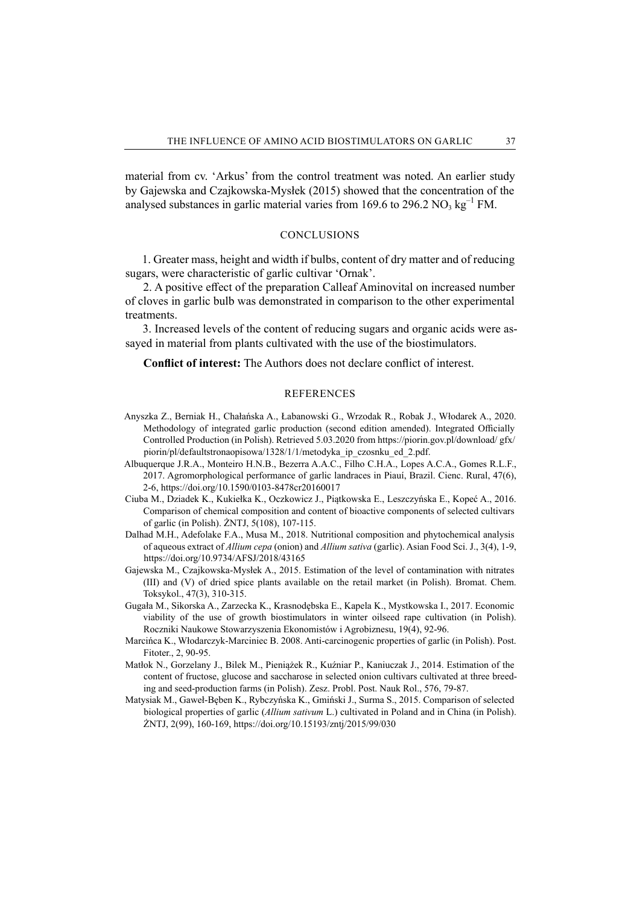material from cv. 'Arkus' from the control treatment was noted. An earlier study by Gajewska and Czajkowska-Mysłek (2015) showed that the concentration of the analysed substances in garlic material varies from 169.6 to 296.2 NO<sub>3</sub> kg<sup>-1</sup> FM.

#### **CONCLUSIONS**

1. Greater mass, height and width if bulbs, content of dry matter and of reducing sugars, were characteristic of garlic cultivar 'Ornak'.

2. A positive effect of the preparation Calleaf Aminovital on increased number of cloves in garlic bulb was demonstrated in comparison to the other experimental treatments.

3. Increased levels of the content of reducing sugars and organic acids were assayed in material from plants cultivated with the use of the biostimulators.

**Conflict of interest:** The Authors does not declare conflict of interest.

#### REFERENCES

- Anyszka Z., Berniak H., Chałańska A., Łabanowski G., Wrzodak R., Robak J., Włodarek A., 2020. Methodology of integrated garlic production (second edition amended). Integrated Officially Controlled Production (in Polish). Retrieved 5.03.2020 from https://piorin.gov.pl/download/ gfx/ piorin/pl/defaultstronaopisowa/1328/1/1/metodyka\_ip\_czosnku\_ed\_2.pdf.
- Albuquerque J.R.A., Monteiro H.N.B., Bezerra A.A.C., Filho C.H.A., Lopes A.C.A., Gomes R.L.F., 2017. Agromorphological performance of garlic landraces in Piauí, Brazil. Cienc. Rural, 47(6), 2-6, https://doi.org/10.1590/0103-8478cr20160017
- Ciuba M., Dziadek K., Kukiełka K., Oczkowicz J., Piątkowska E., Leszczyńska E., Kopeć A., 2016. Comparison of chemical composition and content of bioactive components of selected cultivars of garlic (in Polish). ŻNTJ, 5(108), 107-115.
- Dalhad M.H., Adefolake F.A., Musa M., 2018. Nutritional composition and phytochemical analysis of aqueous extract of *Allium cepa* (onion) and *Allium sativa* (garlic). Asian Food Sci. J., 3(4), 1-9, https://doi.org/10.9734/AFSJ/2018/43165
- Gajewska M., Czajkowska-Mysłek A., 2015. Estimation of the level of contamination with nitrates (III) and (V) of dried spice plants available on the retail market (in Polish). Bromat. Chem. Toksykol., 47(3), 310-315.
- Gugała M., Sikorska A., Zarzecka K., Krasnodębska E., Kapela K., Mystkowska I., 2017. Economic viability of the use of growth biostimulators in winter oilseed rape cultivation (in Polish). Roczniki Naukowe Stowarzyszenia Ekonomistów i Agrobiznesu, 19(4), 92-96.
- Marcińca K., Włodarczyk-Marciniec B. 2008. Anti-carcinogenic properties of garlic (in Polish). Post. Fitoter., 2, 90-95.
- Matłok N., Gorzelany J., Bilek M., Pieniążek R., Kuźniar P., Kaniuczak J., 2014. Estimation of the content of fructose, glucose and saccharose in selected onion cultivars cultivated at three breeding and seed-production farms (in Polish). Zesz. Probl. Post. Nauk Rol., 576, 79-87.
- Matysiak M., Gaweł-Bęben K., Rybczyńska K., Gmiński J., Surma S., 2015. Comparison of selected biological properties of garlic (*Allium sativum* L.) cultivated in Poland and in China (in Polish). ŻNTJ, 2(99), 160-169, https://doi.org/10.15193/zntj/2015/99/030